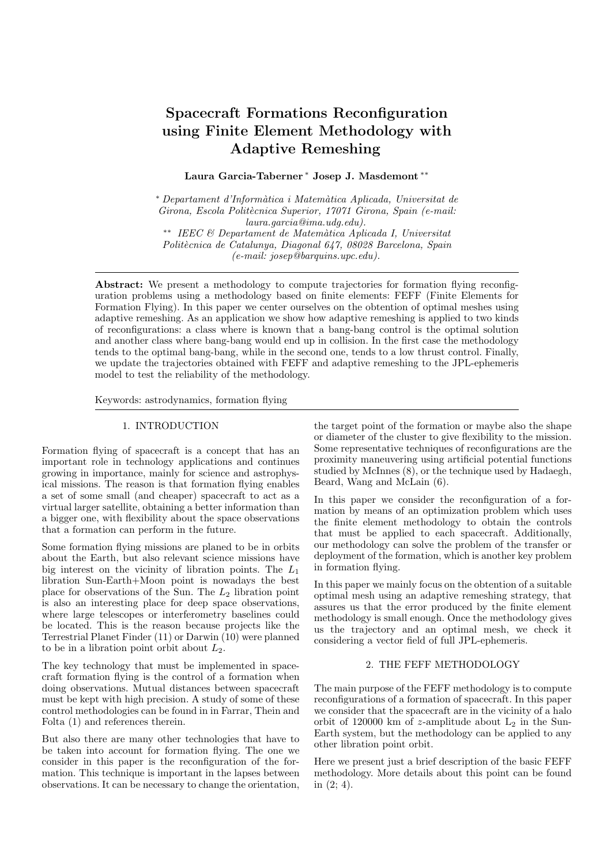# Spacecraft Formations Reconfiguration using Finite Element Methodology with Adaptive Remeshing

Laura Garcia-Taberner <sup>∗</sup> Josep J. Masdemont ∗∗

<sup>∗</sup> Departament d'Inform`atica i Matem`atica Aplicada, Universitat de Girona, Escola Politècnica Superior, 17071 Girona, Spain (e-mail: laura.garcia@ima.udg.edu). ∗∗ IEEC & Departament de Matem`atica Aplicada I, Universitat Politècnica de Catalunya, Diagonal 647, 08028 Barcelona, Spain (e-mail: josep@barquins.upc.edu).

Abstract: We present a methodology to compute trajectories for formation flying reconfiguration problems using a methodology based on finite elements: FEFF (Finite Elements for Formation Flying). In this paper we center ourselves on the obtention of optimal meshes using adaptive remeshing. As an application we show how adaptive remeshing is applied to two kinds of reconfigurations: a class where is known that a bang-bang control is the optimal solution and another class where bang-bang would end up in collision. In the first case the methodology tends to the optimal bang-bang, while in the second one, tends to a low thrust control. Finally, we update the trajectories obtained with FEFF and adaptive remeshing to the JPL-ephemeris model to test the reliability of the methodology.

Keywords: astrodynamics, formation flying

#### 1. INTRODUCTION

Formation flying of spacecraft is a concept that has an important role in technology applications and continues growing in importance, mainly for science and astrophysical missions. The reason is that formation flying enables a set of some small (and cheaper) spacecraft to act as a virtual larger satellite, obtaining a better information than a bigger one, with flexibility about the space observations that a formation can perform in the future.

Some formation flying missions are planed to be in orbits about the Earth, but also relevant science missions have big interest on the vicinity of libration points. The  $L_1$ libration Sun-Earth+Moon point is nowadays the best place for observations of the Sun. The  $L_2$  libration point is also an interesting place for deep space observations, where large telescopes or interferometry baselines could be located. This is the reason because projects like the Terrestrial Planet Finder (11) or Darwin (10) were planned to be in a libration point orbit about  $L_2$ .

The key technology that must be implemented in spacecraft formation flying is the control of a formation when doing observations. Mutual distances between spacecraft must be kept with high precision. A study of some of these control methodologies can be found in in Farrar, Thein and Folta (1) and references therein.

But also there are many other technologies that have to be taken into account for formation flying. The one we consider in this paper is the reconfiguration of the formation. This technique is important in the lapses between observations. It can be necessary to change the orientation,

the target point of the formation or maybe also the shape or diameter of the cluster to give flexibility to the mission. Some representative techniques of reconfigurations are the proximity maneuvering using artificial potential functions studied by McInnes (8), or the technique used by Hadaegh, Beard, Wang and McLain (6).

In this paper we consider the reconfiguration of a formation by means of an optimization problem which uses the finite element methodology to obtain the controls that must be applied to each spacecraft. Additionally, our methodology can solve the problem of the transfer or deployment of the formation, which is another key problem in formation flying.

In this paper we mainly focus on the obtention of a suitable optimal mesh using an adaptive remeshing strategy, that assures us that the error produced by the finite element methodology is small enough. Once the methodology gives us the trajectory and an optimal mesh, we check it considering a vector field of full JPL-ephemeris.

#### 2. THE FEFF METHODOLOGY

The main purpose of the FEFF methodology is to compute reconfigurations of a formation of spacecraft. In this paper we consider that the spacecraft are in the vicinity of a halo orbit of 120000 km of  $z$ -amplitude about  $L_2$  in the Sun-Earth system, but the methodology can be applied to any other libration point orbit.

Here we present just a brief description of the basic FEFF methodology. More details about this point can be found in (2; 4).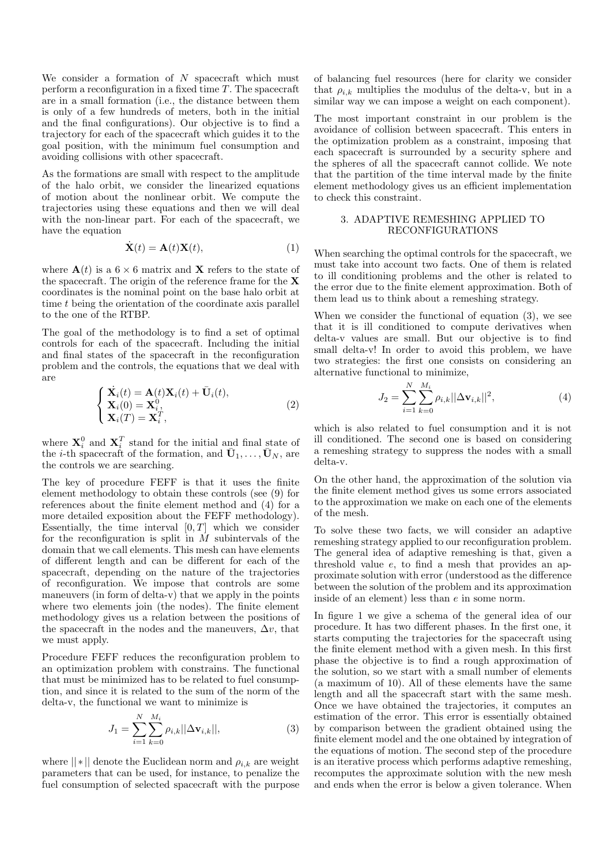We consider a formation of  $N$  spacecraft which must perform a reconfiguration in a fixed time  $T$ . The spacecraft are in a small formation (i.e., the distance between them is only of a few hundreds of meters, both in the initial and the final configurations). Our objective is to find a trajectory for each of the spacecraft which guides it to the goal position, with the minimum fuel consumption and avoiding collisions with other spacecraft.

As the formations are small with respect to the amplitude of the halo orbit, we consider the linearized equations of motion about the nonlinear orbit. We compute the trajectories using these equations and then we will deal with the non-linear part. For each of the spacecraft, we have the equation

$$
\dot{\mathbf{X}}(t) = \mathbf{A}(t)\mathbf{X}(t),\tag{1}
$$

where  $\mathbf{A}(t)$  is a  $6 \times 6$  matrix and **X** refers to the state of the spacecraft. The origin of the reference frame for the X coordinates is the nominal point on the base halo orbit at time  $t$  being the orientation of the coordinate axis parallel to the one of the RTBP.

The goal of the methodology is to find a set of optimal controls for each of the spacecraft. Including the initial and final states of the spacecraft in the reconfiguration problem and the controls, the equations that we deal with are  $\overline{a}$ 

$$
\begin{cases} \dot{\mathbf{X}}_i(t) = \mathbf{A}(t)\mathbf{X}_i(t) + \bar{\mathbf{U}}_i(t), \\ \mathbf{X}_i(0) = \mathbf{X}_i^0, \\ \mathbf{X}_i(T) = \mathbf{X}_i^T, \end{cases}
$$
 (2)

where  $\mathbf{X}_i^0$  and  $\mathbf{X}_i^T$  stand for the initial and final state of the *i*-th spacecraft of the formation, and  $\bar{\mathbf{U}}_1, \ldots, \bar{\mathbf{U}}_N$ , are the controls we are searching.

The key of procedure FEFF is that it uses the finite element methodology to obtain these controls (see (9) for references about the finite element method and (4) for a more detailed exposition about the FEFF methodology). Essentially, the time interval  $[0, T]$  which we consider for the reconfiguration is split in  $M$  subintervals of the domain that we call elements. This mesh can have elements of different length and can be different for each of the spacecraft, depending on the nature of the trajectories of reconfiguration. We impose that controls are some maneuvers (in form of delta-v) that we apply in the points where two elements join (the nodes). The finite element methodology gives us a relation between the positions of the spacecraft in the nodes and the maneuvers,  $\Delta v$ , that we must apply.

Procedure FEFF reduces the reconfiguration problem to an optimization problem with constrains. The functional that must be minimized has to be related to fuel consumption, and since it is related to the sum of the norm of the delta-v, the functional we want to minimize is

$$
J_1 = \sum_{i=1}^{N} \sum_{k=0}^{M_i} \rho_{i,k} ||\Delta \mathbf{v}_{i,k}||,
$$
 (3)

where  $||*||$  denote the Euclidean norm and  $\rho_{i,k}$  are weight parameters that can be used, for instance, to penalize the fuel consumption of selected spacecraft with the purpose

of balancing fuel resources (here for clarity we consider that  $\rho_{i,k}$  multiplies the modulus of the delta-v, but in a similar way we can impose a weight on each component).

The most important constraint in our problem is the avoidance of collision between spacecraft. This enters in the optimization problem as a constraint, imposing that each spacecraft is surrounded by a security sphere and the spheres of all the spacecraft cannot collide. We note that the partition of the time interval made by the finite element methodology gives us an efficient implementation to check this constraint.

# 3. ADAPTIVE REMESHING APPLIED TO RECONFIGURATIONS

When searching the optimal controls for the spacecraft, we must take into account two facts. One of them is related to ill conditioning problems and the other is related to the error due to the finite element approximation. Both of them lead us to think about a remeshing strategy.

When we consider the functional of equation (3), we see that it is ill conditioned to compute derivatives when delta-v values are small. But our objective is to find small delta-v! In order to avoid this problem, we have two strategies: the first one consists on considering an alternative functional to minimize,

$$
J_2 = \sum_{i=1}^{N} \sum_{k=0}^{M_i} \rho_{i,k} ||\Delta \mathbf{v}_{i,k}||^2,
$$
 (4)

which is also related to fuel consumption and it is not ill conditioned. The second one is based on considering a remeshing strategy to suppress the nodes with a small delta-v.

On the other hand, the approximation of the solution via the finite element method gives us some errors associated to the approximation we make on each one of the elements of the mesh.

To solve these two facts, we will consider an adaptive remeshing strategy applied to our reconfiguration problem. The general idea of adaptive remeshing is that, given a threshold value e, to find a mesh that provides an approximate solution with error (understood as the difference between the solution of the problem and its approximation inside of an element) less than e in some norm.

In figure 1 we give a schema of the general idea of our procedure. It has two different phases. In the first one, it starts computing the trajectories for the spacecraft using the finite element method with a given mesh. In this first phase the objective is to find a rough approximation of the solution, so we start with a small number of elements (a maximum of 10). All of these elements have the same length and all the spacecraft start with the same mesh. Once we have obtained the trajectories, it computes an estimation of the error. This error is essentially obtained by comparison between the gradient obtained using the finite element model and the one obtained by integration of the equations of motion. The second step of the procedure is an iterative process which performs adaptive remeshing, recomputes the approximate solution with the new mesh and ends when the error is below a given tolerance. When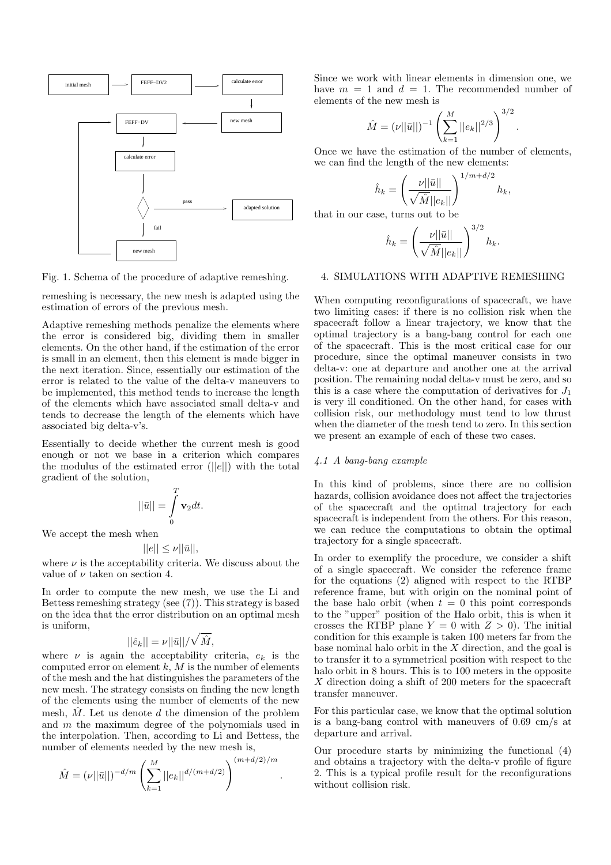

Fig. 1. Schema of the procedure of adaptive remeshing.

remeshing is necessary, the new mesh is adapted using the estimation of errors of the previous mesh.

Adaptive remeshing methods penalize the elements where the error is considered big, dividing them in smaller elements. On the other hand, if the estimation of the error is small in an element, then this element is made bigger in the next iteration. Since, essentially our estimation of the error is related to the value of the delta-v maneuvers to be implemented, this method tends to increase the length of the elements which have associated small delta-v and tends to decrease the length of the elements which have associated big delta-v's.

Essentially to decide whether the current mesh is good enough or not we base in a criterion which compares the modulus of the estimated error  $(||e||)$  with the total gradient of the solution,

$$
||\bar{u}|| = \int\limits_0^T \mathbf{v}_2 dt.
$$

We accept the mesh when

$$
||e|| \leq \nu ||\bar{u}||,
$$

where  $\nu$  is the acceptability criteria. We discuss about the value of  $\nu$  taken on section 4.

In order to compute the new mesh, we use the Li and Bettess remeshing strategy (see (7)). This strategy is based on the idea that the error distribution on an optimal mesh is uniform, p

$$
||\hat{e}_k|| = \nu ||\bar{u}|| / \sqrt{\hat{M}},
$$

where  $\nu$  is again the acceptability criteria,  $e_k$  is the computed error on element  $k$ ,  $M$  is the number of elements of the mesh and the hat distinguishes the parameters of the new mesh. The strategy consists on finding the new length of the elements using the number of elements of the new mesh,  $\hat{M}$ . Let us denote d the dimension of the problem and m the maximum degree of the polynomials used in the interpolation. Then, according to Li and Bettess, the number of elements needed by the new mesh is,

$$
\hat{M} = (\nu ||\bar{u}||)^{-d/m} \left( \sum_{k=1}^{M} ||e_k||^{d/(m+d/2)} \right)^{(m+d/2)/m}
$$

.

Since we work with linear elements in dimension one, we have  $m = 1$  and  $d = 1$ . The recommended number of elements of the new mesh is

$$
\hat{M} = (\nu ||\bar{u}||)^{-1} \left(\sum_{k=1}^{M} ||e_k||^{2/3}\right)^{3/2}
$$

.

Once we have the estimation of the number of elements, we can find the length of the new elements:

$$
\hat{h}_k = \left(\frac{\nu||\bar{u}||}{\sqrt{\hat{M}}||e_k||}\right)^{1/m+d/2}h_k,
$$

that in our case, turns out to be

$$
\hat{h}_k = \left(\frac{\nu ||\bar{u}||}{\sqrt{\hat{M}}||e_k||}\right)^{3/2} h_k.
$$

# 4. SIMULATIONS WITH ADAPTIVE REMESHING

When computing reconfigurations of spacecraft, we have two limiting cases: if there is no collision risk when the spacecraft follow a linear trajectory, we know that the optimal trajectory is a bang-bang control for each one of the spacecraft. This is the most critical case for our procedure, since the optimal maneuver consists in two delta-v: one at departure and another one at the arrival position. The remaining nodal delta-v must be zero, and so this is a case where the computation of derivatives for  $J_1$ is very ill conditioned. On the other hand, for cases with collision risk, our methodology must tend to low thrust when the diameter of the mesh tend to zero. In this section we present an example of each of these two cases.

#### 4.1 A bang-bang example

In this kind of problems, since there are no collision hazards, collision avoidance does not affect the trajectories of the spacecraft and the optimal trajectory for each spacecraft is independent from the others. For this reason, we can reduce the computations to obtain the optimal trajectory for a single spacecraft.

In order to exemplify the procedure, we consider a shift of a single spacecraft. We consider the reference frame for the equations (2) aligned with respect to the RTBP reference frame, but with origin on the nominal point of the base halo orbit (when  $t = 0$  this point corresponds to the "upper" position of the Halo orbit, this is when it crosses the RTBP plane  $Y = 0$  with  $Z > 0$ ). The initial condition for this example is taken 100 meters far from the base nominal halo orbit in the  $X$  direction, and the goal is to transfer it to a symmetrical position with respect to the halo orbit in 8 hours. This is to 100 meters in the opposite X direction doing a shift of 200 meters for the spacecraft transfer maneuver.

For this particular case, we know that the optimal solution is a bang-bang control with maneuvers of 0.69 cm/s at departure and arrival.

Our procedure starts by minimizing the functional (4) and obtains a trajectory with the delta-v profile of figure 2. This is a typical profile result for the reconfigurations without collision risk.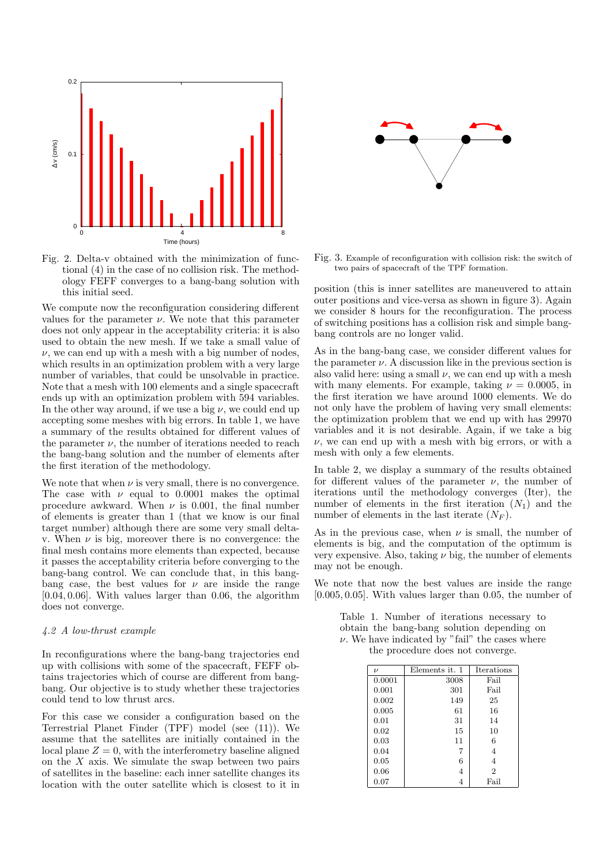

Fig. 2. Delta-v obtained with the minimization of functional (4) in the case of no collision risk. The methodology FEFF converges to a bang-bang solution with this initial seed.

We compute now the reconfiguration considering different values for the parameter  $\nu$ . We note that this parameter does not only appear in the acceptability criteria: it is also used to obtain the new mesh. If we take a small value of  $\nu$ , we can end up with a mesh with a big number of nodes, which results in an optimization problem with a very large number of variables, that could be unsolvable in practice. Note that a mesh with 100 elements and a single spacecraft ends up with an optimization problem with 594 variables. In the other way around, if we use a big  $\nu$ , we could end up accepting some meshes with big errors. In table 1, we have a summary of the results obtained for different values of the parameter  $\nu$ , the number of iterations needed to reach the bang-bang solution and the number of elements after the first iteration of the methodology.

We note that when  $\nu$  is very small, there is no convergence. The case with  $\nu$  equal to 0.0001 makes the optimal procedure awkward. When  $\nu$  is 0.001, the final number of elements is greater than 1 (that we know is our final target number) although there are some very small deltav. When  $\nu$  is big, moreover there is no convergence: the final mesh contains more elements than expected, because it passes the acceptability criteria before converging to the bang-bang control. We can conclude that, in this bangbang case, the best values for  $\nu$  are inside the range [0.04, 0.06]. With values larger than 0.06, the algorithm does not converge.

#### 4.2 A low-thrust example

In reconfigurations where the bang-bang trajectories end up with collisions with some of the spacecraft, FEFF obtains trajectories which of course are different from bangbang. Our objective is to study whether these trajectories could tend to low thrust arcs.

For this case we consider a configuration based on the Terrestrial Planet Finder (TPF) model (see (11)). We assume that the satellites are initially contained in the local plane  $Z = 0$ , with the interferometry baseline aligned on the  $X$  axis. We simulate the swap between two pairs of satellites in the baseline: each inner satellite changes its location with the outer satellite which is closest to it in



Fig. 3. Example of reconfiguration with collision risk: the switch of two pairs of spacecraft of the TPF formation.

position (this is inner satellites are maneuvered to attain outer positions and vice-versa as shown in figure 3). Again we consider 8 hours for the reconfiguration. The process of switching positions has a collision risk and simple bangbang controls are no longer valid.

As in the bang-bang case, we consider different values for the parameter  $\nu$ . A discussion like in the previous section is also valid here: using a small  $\nu$ , we can end up with a mesh with many elements. For example, taking  $\nu = 0.0005$ , in the first iteration we have around 1000 elements. We do not only have the problem of having very small elements: the optimization problem that we end up with has 29970 variables and it is not desirable. Again, if we take a big  $\nu$ , we can end up with a mesh with big errors, or with a mesh with only a few elements.

In table 2, we display a summary of the results obtained for different values of the parameter  $\nu$ , the number of iterations until the methodology converges (Iter), the number of elements in the first iteration  $(N_1)$  and the number of elements in the last iterate  $(N_F)$ .

As in the previous case, when  $\nu$  is small, the number of elements is big, and the computation of the optimum is very expensive. Also, taking  $\nu$  big, the number of elements may not be enough.

We note that now the best values are inside the range [0.005, 0.05]. With values larger than 0.05, the number of

Table 1. Number of iterations necessary to obtain the bang-bang solution depending on  $\nu$ . We have indicated by "fail" the cases where the procedure does not converge.

| $\overline{\nu}$ | Elements it. 1 | <b>Iterations</b> |
|------------------|----------------|-------------------|
| 0.0001           | 3008           | Fail              |
| 0.001            | 301            | Fail              |
| 0.002            | 149            | 25                |
| 0.005            | 61             | 16                |
| 0.01             | 31             | 14                |
| 0.02             | 15             | 10                |
| 0.03             | 11             | 6                 |
| 0.04             | 7              | 4                 |
| 0.05             | 6              | 4                 |
| 0.06             | 4              | $\overline{2}$    |
| 0.07             | 4              | Fail              |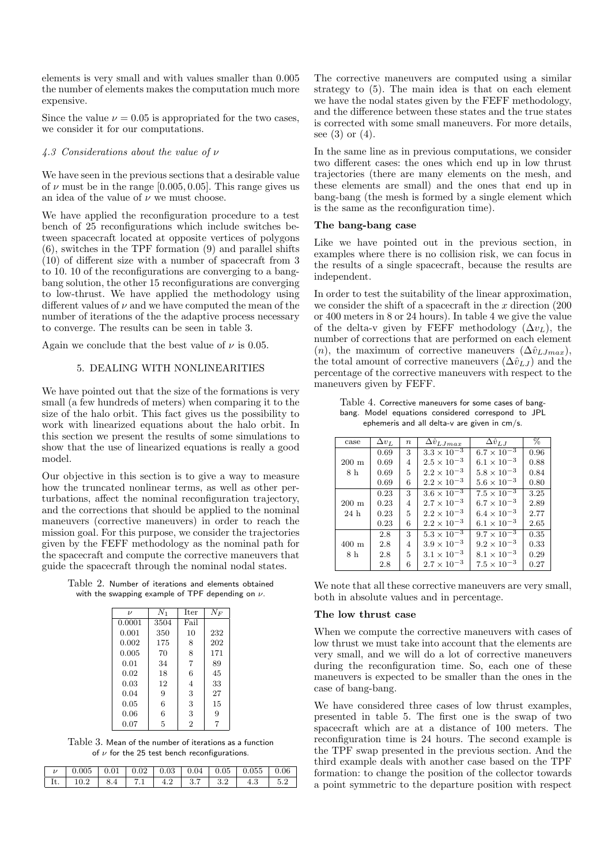elements is very small and with values smaller than 0.005 the number of elements makes the computation much more expensive.

Since the value  $\nu = 0.05$  is appropriated for the two cases, we consider it for our computations.

#### 4.3 Considerations about the value of ν

We have seen in the previous sections that a desirable value of  $\nu$  must be in the range [0.005, 0.05]. This range gives us an idea of the value of  $\nu$  we must choose.

We have applied the reconfiguration procedure to a test bench of 25 reconfigurations which include switches between spacecraft located at opposite vertices of polygons (6), switches in the TPF formation (9) and parallel shifts (10) of different size with a number of spacecraft from 3 to 10. 10 of the reconfigurations are converging to a bangbang solution, the other 15 reconfigurations are converging to low-thrust. We have applied the methodology using different values of  $\nu$  and we have computed the mean of the number of iterations of the the adaptive process necessary to converge. The results can be seen in table 3.

Again we conclude that the best value of  $\nu$  is 0.05.

# 5. DEALING WITH NONLINEARITIES

We have pointed out that the size of the formations is very small (a few hundreds of meters) when comparing it to the size of the halo orbit. This fact gives us the possibility to work with linearized equations about the halo orbit. In this section we present the results of some simulations to show that the use of linearized equations is really a good model.

Our objective in this section is to give a way to measure how the truncated nonlinear terms, as well as other perturbations, affect the nominal reconfiguration trajectory, and the corrections that should be applied to the nominal maneuvers (corrective maneuvers) in order to reach the mission goal. For this purpose, we consider the trajectories given by the FEFF methodology as the nominal path for the spacecraft and compute the corrective maneuvers that guide the spacecraft through the nominal nodal states.

Table 2. Number of iterations and elements obtained with the swapping example of TPF depending on  $\nu$ .

| $\overline{\nu}$ | $N_1$ | Iter           | $N_F$ |
|------------------|-------|----------------|-------|
| 0.0001           | 3504  | Fail           |       |
| 0.001            | 350   | 10             | 232   |
| 0.002            | 175   | 8              | 202   |
| 0.005            | 70    | 8              | 171   |
| 0.01             | 34    | $\overline{7}$ | 89    |
| 0.02             | 18    | 6              | 45    |
| 0.03             | 12    | $\overline{4}$ | 33    |
| 0.04             | 9     | 3              | 27    |
| 0.05             | 6     | 3              | 15    |
| 0.06             | 6     | 3              | 9     |
| 0.07             | 5     | $\overline{2}$ | 7     |

Table 3. Mean of the number of iterations as a function of  $\nu$  for the 25 test bench reconfigurations.

| $\nu$   0.005   0.01   0.02   0.03   0.04   0.05   0.055   0.06 |  |  |  |  |
|-----------------------------------------------------------------|--|--|--|--|
| It.   10.2   8.4   7.1   4.2   3.7   3.2   4.3   5.2            |  |  |  |  |

The corrective maneuvers are computed using a similar strategy to (5). The main idea is that on each element we have the nodal states given by the FEFF methodology, and the difference between these states and the true states is corrected with some small maneuvers. For more details, see  $(3)$  or  $(4)$ .

In the same line as in previous computations, we consider two different cases: the ones which end up in low thrust trajectories (there are many elements on the mesh, and these elements are small) and the ones that end up in bang-bang (the mesh is formed by a single element which is the same as the reconfiguration time).

# The bang-bang case

Like we have pointed out in the previous section, in examples where there is no collision risk, we can focus in the results of a single spacecraft, because the results are independent.

In order to test the suitability of the linear approximation, we consider the shift of a spacecraft in the  $x$  direction  $(200)$ or 400 meters in 8 or 24 hours). In table 4 we give the value of the delta-v given by FEFF methodology  $(\Delta v_L)$ , the number of corrections that are performed on each element (n), the maximum of corrective maneuvers  $(\Delta \hat{v}_{LJmax})$ , the total amount of corrective maneuvers  $(\Delta \hat{v}_{LJ})$  and the percentage of the corrective maneuvers with respect to the maneuvers given by FEFF.

Table 4. Corrective maneuvers for some cases of bangbang. Model equations considered correspond to JPL ephemeris and all delta-v are given in cm/s.

| case            | $\Delta v_L$ | $\boldsymbol{n}$ | $\Delta \hat{v}_{LJmax}$ | $\Delta \hat{v}_{L,I}$ | %    |
|-----------------|--------------|------------------|--------------------------|------------------------|------|
|                 | 0.69         | 3                | $3.3 \times 10^{-3}$     | $6.7 \times 10^{-3}$   | 0.96 |
| $200 \text{ m}$ | 0.69         | 4                | $2.5\times10^{-3}$       | $6.1 \times 10^{-3}$   | 0.88 |
| 8 h             | 0.69         | $\overline{5}$   | $2.2 \times 10^{-3}$     | $5.8 \times 10^{-3}$   | 0.84 |
|                 | 0.69         | 6                | $2.2 \times 10^{-3}$     | $5.6 \times 10^{-3}$   | 0.80 |
|                 | 0.23         | 3                | $3.6 \times 10^{-3}$     | $7.5 \times 10^{-3}$   | 3.25 |
| $200 \text{ m}$ | 0.23         | $\overline{4}$   | $2.7 \times 10^{-3}$     | $6.7 \times 10^{-3}$   | 2.89 |
| 24h             | 0.23         | $\overline{5}$   | $2.2 \times 10^{-3}$     | $6.4 \times 10^{-3}$   | 2.77 |
|                 | 0.23         | 6                | $2.2 \times 10^{-3}$     | $6.1 \times 10^{-3}$   | 2.65 |
|                 | 2.8          | 3                | $5.3 \times 10^{-3}$     | $9.7 \times 10^{-3}$   | 0.35 |
| $400 \text{ m}$ | 2.8          | 4                | $3.9\times10^{-3}$       | $9.2 \times 10^{-3}$   | 0.33 |
| 8 h             | 2.8          | 5                | $3.1 \times 10^{-3}$     | $8.1 \times 10^{-3}$   | 0.29 |
|                 | 2.8          | 6                | $2.7 \times 10^{-3}$     | $7.5 \times 10^{-3}$   | 0.27 |

We note that all these corrective maneuvers are very small, both in absolute values and in percentage.

# The low thrust case

When we compute the corrective maneuvers with cases of low thrust we must take into account that the elements are very small, and we will do a lot of corrective maneuvers during the reconfiguration time. So, each one of these maneuvers is expected to be smaller than the ones in the case of bang-bang.

We have considered three cases of low thrust examples, presented in table 5. The first one is the swap of two spacecraft which are at a distance of 100 meters. The reconfiguration time is 24 hours. The second example is the TPF swap presented in the previous section. And the third example deals with another case based on the TPF formation: to change the position of the collector towards a point symmetric to the departure position with respect